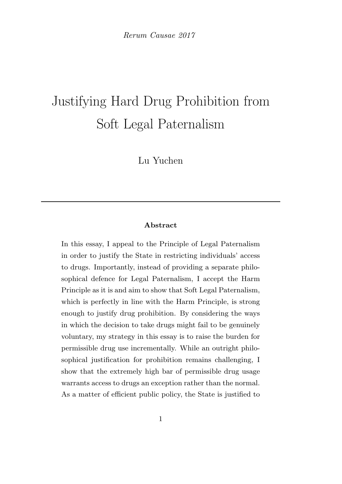Rerum Causae 2017

# Justifying Hard Drug Prohibition from Soft Legal Paternalism

Lu Yuchen

# Abstract

In this essay, I appeal to the Principle of Legal Paternalism in order to justify the State in restricting individuals' access to drugs. Importantly, instead of providing a separate philosophical defence for Legal Paternalism, I accept the Harm Principle as it is and aim to show that Soft Legal Paternalism, which is perfectly in line with the Harm Principle, is strong enough to justify drug prohibition. By considering the ways in which the decision to take drugs might fail to be genuinely voluntary, my strategy in this essay is to raise the burden for permissible drug use incrementally. While an outright philosophical justification for prohibition remains challenging, I show that the extremely high bar of permissible drug usage warrants access to drugs an exception rather than the normal. As a matter of efficient public policy, the State is justified to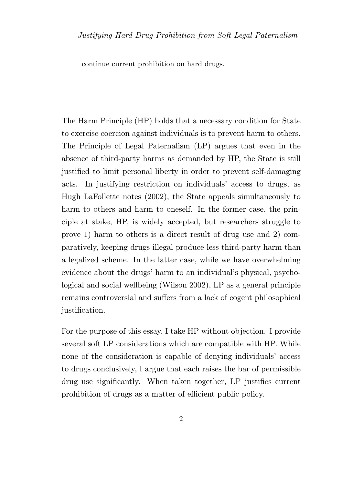continue current prohibition on hard drugs.

The Harm Principle (HP) holds that a necessary condition for State to exercise coercion against individuals is to prevent harm to others. The Principle of Legal Paternalism (LP) argues that even in the absence of third-party harms as demanded by HP, the State is still justified to limit personal liberty in order to prevent self-damaging acts. In justifying restriction on individuals' access to drugs, as Hugh LaFollette notes (2002), the State appeals simultaneously to harm to others and harm to oneself. In the former case, the principle at stake, HP, is widely accepted, but researchers struggle to prove 1) harm to others is a direct result of drug use and 2) comparatively, keeping drugs illegal produce less third-party harm than a legalized scheme. In the latter case, while we have overwhelming evidence about the drugs' harm to an individual's physical, psychological and social wellbeing (Wilson 2002), LP as a general principle remains controversial and suffers from a lack of cogent philosophical justification.

For the purpose of this essay, I take HP without objection. I provide several soft LP considerations which are compatible with HP. While none of the consideration is capable of denying individuals' access to drugs conclusively, I argue that each raises the bar of permissible drug use significantly. When taken together, LP justifies current prohibition of drugs as a matter of efficient public policy.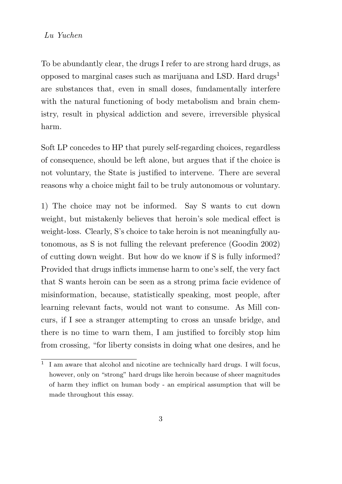## Lu Yuchen

To be abundantly clear, the drugs I refer to are strong hard drugs, as opposed to marginal cases such as marijuana and LSD. Hard drugs<sup>1</sup> are substances that, even in small doses, fundamentally interfere with the natural functioning of body metabolism and brain chemistry, result in physical addiction and severe, irreversible physical harm.

Soft LP concedes to HP that purely self-regarding choices, regardless of consequence, should be left alone, but argues that if the choice is not voluntary, the State is justified to intervene. There are several reasons why a choice might fail to be truly autonomous or voluntary.

1) The choice may not be informed. Say S wants to cut down weight, but mistakenly believes that heroin's sole medical effect is weight-loss. Clearly, S's choice to take heroin is not meaningfully autonomous, as S is not fulling the relevant preference (Goodin 2002) of cutting down weight. But how do we know if S is fully informed? Provided that drugs inflicts immense harm to one's self, the very fact that S wants heroin can be seen as a strong prima facie evidence of misinformation, because, statistically speaking, most people, after learning relevant facts, would not want to consume. As Mill concurs, if I see a stranger attempting to cross an unsafe bridge, and there is no time to warn them, I am justified to forcibly stop him from crossing, "for liberty consists in doing what one desires, and he

<sup>&</sup>lt;sup>1</sup> I am aware that alcohol and nicotine are technically hard drugs. I will focus, however, only on "strong" hard drugs like heroin because of sheer magnitudes of harm they inflict on human body - an empirical assumption that will be made throughout this essay.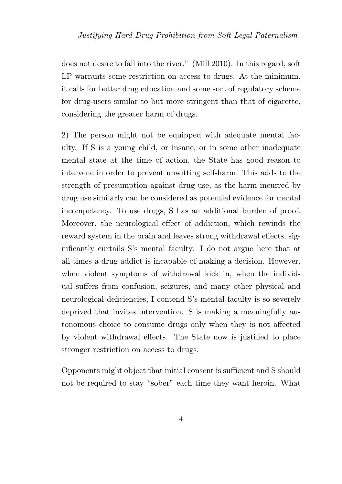does not desire to fall into the river." (Mill 2010). In this regard, soft LP warrants some restriction on access to drugs. At the minimum, it calls for better drug education and some sort of regulatory scheme for drug-users similar to but more stringent than that of cigarette, considering the greater harm of drugs.

2) The person might not be equipped with adequate mental faculty. If S is a young child, or insane, or in some other inadequate mental state at the time of action, the State has good reason to intervene in order to prevent unwitting self-harm. This adds to the strength of presumption against drug use, as the harm incurred by drug use similarly can be considered as potential evidence for mental incompetency. To use drugs, S has an additional burden of proof. Moreover, the neurological effect of addiction, which rewinds the reward system in the brain and leaves strong withdrawal effects, significantly curtails S's mental faculty. I do not argue here that at all times a drug addict is incapable of making a decision. However, when violent symptoms of withdrawal kick in, when the individual suffers from confusion, seizures, and many other physical and neurological deficiencies, I contend S's mental faculty is so severely deprived that invites intervention. S is making a meaningfully autonomous choice to consume drugs only when they is not affected by violent withdrawal effects. The State now is justified to place stronger restriction on access to drugs.

Opponents might object that initial consent is sufficient and S should not be required to stay "sober" each time they want heroin. What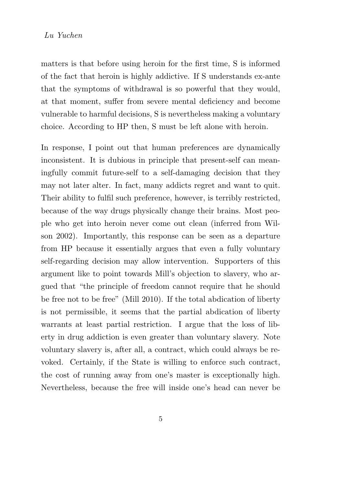#### Lu Yuchen

matters is that before using heroin for the first time, S is informed of the fact that heroin is highly addictive. If S understands ex-ante that the symptoms of withdrawal is so powerful that they would, at that moment, suffer from severe mental deficiency and become vulnerable to harmful decisions, S is nevertheless making a voluntary choice. According to HP then, S must be left alone with heroin.

In response, I point out that human preferences are dynamically inconsistent. It is dubious in principle that present-self can meaningfully commit future-self to a self-damaging decision that they may not later alter. In fact, many addicts regret and want to quit. Their ability to fulfil such preference, however, is terribly restricted, because of the way drugs physically change their brains. Most people who get into heroin never come out clean (inferred from Wilson 2002). Importantly, this response can be seen as a departure from HP because it essentially argues that even a fully voluntary self-regarding decision may allow intervention. Supporters of this argument like to point towards Mill's objection to slavery, who argued that "the principle of freedom cannot require that he should be free not to be free" (Mill 2010). If the total abdication of liberty is not permissible, it seems that the partial abdication of liberty warrants at least partial restriction. I argue that the loss of liberty in drug addiction is even greater than voluntary slavery. Note voluntary slavery is, after all, a contract, which could always be revoked. Certainly, if the State is willing to enforce such contract, the cost of running away from one's master is exceptionally high. Nevertheless, because the free will inside one's head can never be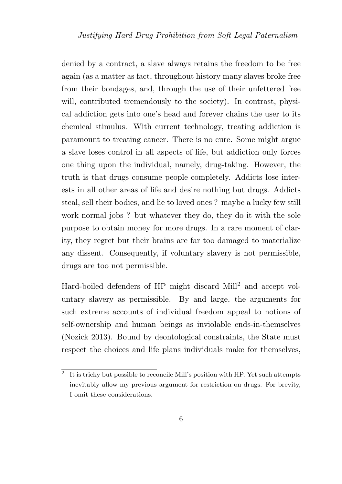denied by a contract, a slave always retains the freedom to be free again (as a matter as fact, throughout history many slaves broke free from their bondages, and, through the use of their unfettered free will, contributed tremendously to the society). In contrast, physical addiction gets into one's head and forever chains the user to its chemical stimulus. With current technology, treating addiction is paramount to treating cancer. There is no cure. Some might argue a slave loses control in all aspects of life, but addiction only forces one thing upon the individual, namely, drug-taking. However, the truth is that drugs consume people completely. Addicts lose interests in all other areas of life and desire nothing but drugs. Addicts steal, sell their bodies, and lie to loved ones ? maybe a lucky few still work normal jobs ? but whatever they do, they do it with the sole purpose to obtain money for more drugs. In a rare moment of clarity, they regret but their brains are far too damaged to materialize any dissent. Consequently, if voluntary slavery is not permissible, drugs are too not permissible.

Hard-boiled defenders of HP might discard Mill<sup>2</sup> and accept voluntary slavery as permissible. By and large, the arguments for such extreme accounts of individual freedom appeal to notions of self-ownership and human beings as inviolable ends-in-themselves (Nozick 2013). Bound by deontological constraints, the State must respect the choices and life plans individuals make for themselves,

<sup>&</sup>lt;sup>2</sup> It is tricky but possible to reconcile Mill's position with HP. Yet such attempts inevitably allow my previous argument for restriction on drugs. For brevity, I omit these considerations.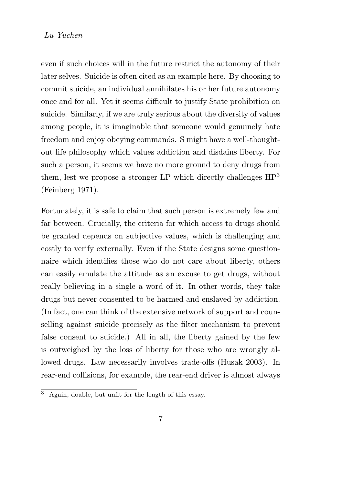## Lu Yuchen

even if such choices will in the future restrict the autonomy of their later selves. Suicide is often cited as an example here. By choosing to commit suicide, an individual annihilates his or her future autonomy once and for all. Yet it seems difficult to justify State prohibition on suicide. Similarly, if we are truly serious about the diversity of values among people, it is imaginable that someone would genuinely hate freedom and enjoy obeying commands. S might have a well-thoughtout life philosophy which values addiction and disdains liberty. For such a person, it seems we have no more ground to deny drugs from them, lest we propose a stronger LP which directly challenges HP<sup>3</sup> (Feinberg 1971).

Fortunately, it is safe to claim that such person is extremely few and far between. Crucially, the criteria for which access to drugs should be granted depends on subjective values, which is challenging and costly to verify externally. Even if the State designs some questionnaire which identifies those who do not care about liberty, others can easily emulate the attitude as an excuse to get drugs, without really believing in a single a word of it. In other words, they take drugs but never consented to be harmed and enslaved by addiction. (In fact, one can think of the extensive network of support and counselling against suicide precisely as the filter mechanism to prevent false consent to suicide.) All in all, the liberty gained by the few is outweighed by the loss of liberty for those who are wrongly allowed drugs. Law necessarily involves trade-offs (Husak 2003). In rear-end collisions, for example, the rear-end driver is almost always

 $\overline{3}$  Again, doable, but unfit for the length of this essay.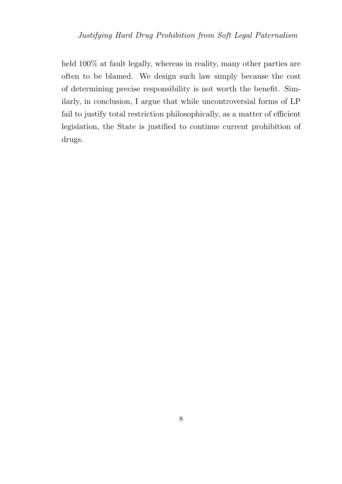held 100% at fault legally, whereas in reality, many other parties are often to be blamed. We design such law simply because the cost of determining precise responsibility is not worth the benefit. Similarly, in conclusion, I argue that while uncontroversial forms of LP fail to justify total restriction philosophically, as a matter of efficient legislation, the State is justified to continue current prohibition of drugs.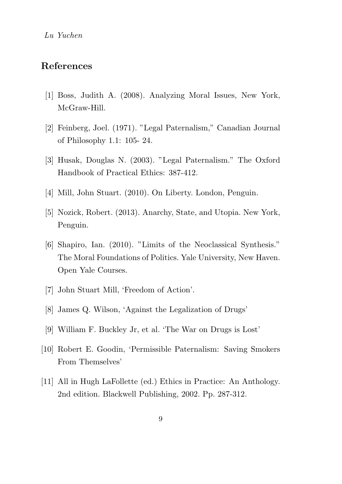# References

- [1] Boss, Judith A. (2008). Analyzing Moral Issues, New York, McGraw-Hill.
- [2] Feinberg, Joel. (1971). "Legal Paternalism," Canadian Journal of Philosophy 1.1: 105- 24.
- [3] Husak, Douglas N. (2003). "Legal Paternalism." The Oxford Handbook of Practical Ethics: 387-412.
- [4] Mill, John Stuart. (2010). On Liberty. London, Penguin.
- [5] Nozick, Robert. (2013). Anarchy, State, and Utopia. New York, Penguin.
- [6] Shapiro, Ian. (2010). "Limits of the Neoclassical Synthesis." The Moral Foundations of Politics. Yale University, New Haven. Open Yale Courses.
- [7] John Stuart Mill, 'Freedom of Action'.
- [8] James Q. Wilson, 'Against the Legalization of Drugs'
- [9] William F. Buckley Jr, et al. 'The War on Drugs is Lost'
- [10] Robert E. Goodin, 'Permissible Paternalism: Saving Smokers From Themselves'
- [11] All in Hugh LaFollette (ed.) Ethics in Practice: An Anthology. 2nd edition. Blackwell Publishing, 2002. Pp. 287-312.